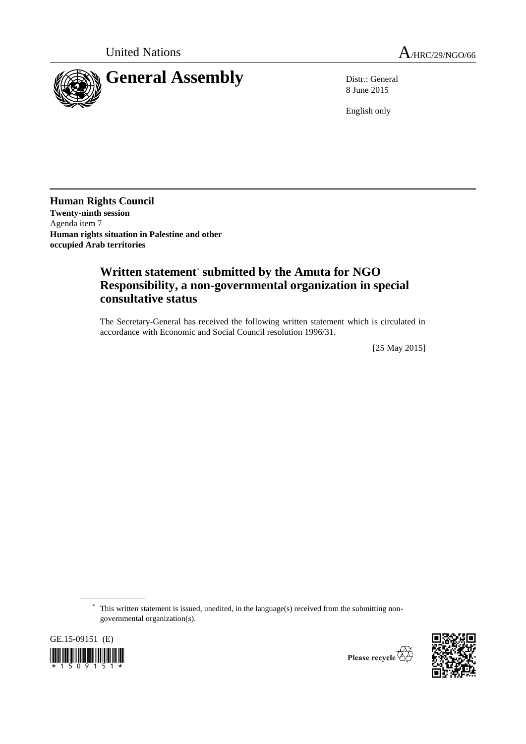

8 June 2015

English only

**Human Rights Council Twenty-ninth session** Agenda item 7 **Human rights situation in Palestine and other occupied Arab territories**

# **Written statement**\* **submitted by the Amuta for NGO Responsibility, a non-governmental organization in special consultative status**

The Secretary-General has received the following written statement which is circulated in accordance with Economic and Social Council resolution 1996/31.

[25 May 2015]

\* This written statement is issued, unedited, in the language(s) received from the submitting nongovernmental organization(s).



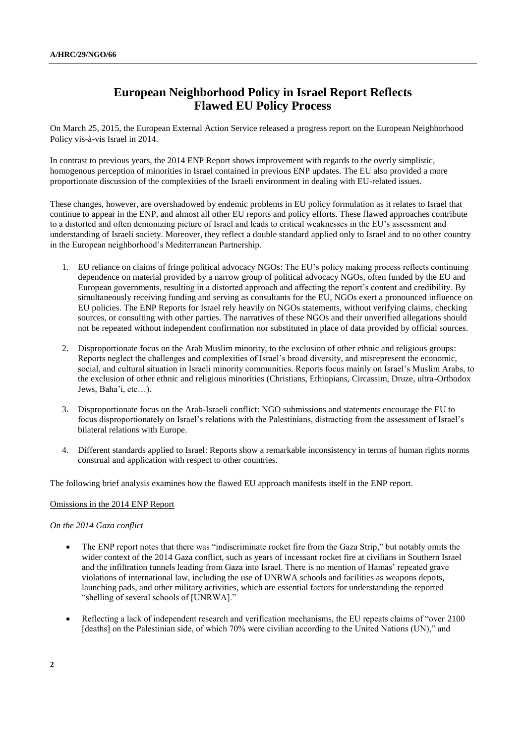## **European Neighborhood Policy in Israel Report Reflects Flawed EU Policy Process**

On March 25, 2015, the European External Action Service released a progress report on the European Neighborhood Policy vis-à-vis Israel in 2014.

In contrast to previous years, the 2014 ENP Report shows improvement with regards to the overly simplistic, homogenous perception of minorities in Israel contained in previous ENP updates. The EU also provided a more proportionate discussion of the complexities of the Israeli environment in dealing with EU-related issues.

These changes, however, are overshadowed by endemic problems in EU policy formulation as it relates to Israel that continue to appear in the ENP, and almost all other EU reports and policy efforts. These flawed approaches contribute to a distorted and often demonizing picture of Israel and leads to critical weaknesses in the EU's assessment and understanding of Israeli society. Moreover, they reflect a double standard applied only to Israel and to no other country in the European neighborhood's Mediterranean Partnership.

- 1. EU reliance on claims of fringe political advocacy NGOs: The EU's policy making process reflects continuing dependence on material provided by a narrow group of political advocacy NGOs, often funded by the EU and European governments, resulting in a distorted approach and affecting the report's content and credibility. By simultaneously receiving funding and serving as consultants for the EU, NGOs exert a pronounced influence on EU policies. The ENP Reports for Israel rely heavily on NGOs statements, without verifying claims, checking sources, or consulting with other parties. The narratives of these NGOs and their unverified allegations should not be repeated without independent confirmation nor substituted in place of data provided by official sources.
- 2. Disproportionate focus on the Arab Muslim minority, to the exclusion of other ethnic and religious groups: Reports neglect the challenges and complexities of Israel's broad diversity, and misrepresent the economic, social, and cultural situation in Israeli minority communities. Reports focus mainly on Israel's Muslim Arabs, to the exclusion of other ethnic and religious minorities (Christians, Ethiopians, Circassim, Druze, ultra-Orthodox Jews, Baha'i, etc…).
- 3. Disproportionate focus on the Arab-Israeli conflict: NGO submissions and statements encourage the EU to focus disproportionately on Israel's relations with the Palestinians, distracting from the assessment of Israel's bilateral relations with Europe.
- 4. Different standards applied to Israel: Reports show a remarkable inconsistency in terms of human rights norms construal and application with respect to other countries.

The following brief analysis examines how the flawed EU approach manifests itself in the ENP report.

### Omissions in the 2014 ENP Report

### *On the 2014 Gaza conflict*

- The ENP report notes that there was "indiscriminate rocket fire from the Gaza Strip," but notably omits the wider context of the 2014 Gaza conflict, such as years of incessant rocket fire at civilians in Southern Israel and the infiltration tunnels leading from Gaza into Israel. There is no mention of Hamas' repeated grave violations of international law, including the use of UNRWA schools and facilities as weapons depots, launching pads, and other military activities, which are essential factors for understanding the reported "shelling of several schools of [UNRWA]."
- Reflecting a lack of independent research and verification mechanisms, the EU repeats claims of "over 2100" [deaths] on the Palestinian side, of which 70% were civilian according to the United Nations (UN)," and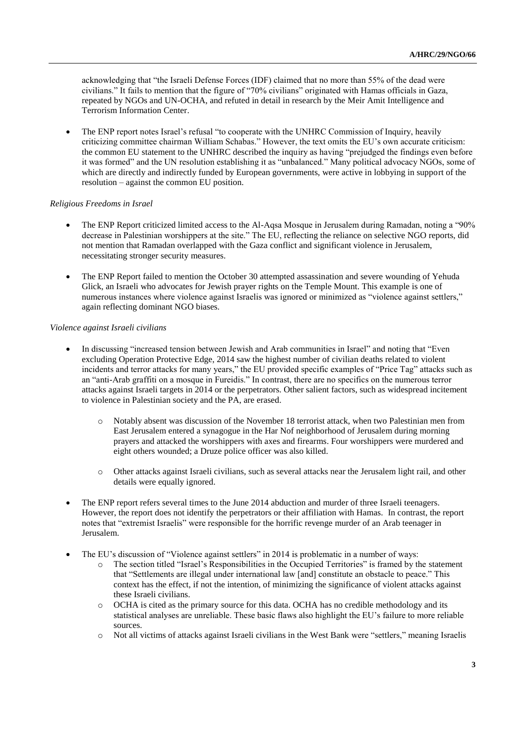acknowledging that "the Israeli Defense Forces (IDF) claimed that no more than 55% of the dead were civilians." It fails to mention that the figure of "70% civilians" originated with Hamas officials in Gaza, repeated by NGOs and UN-OCHA, and refuted in detail in research by th[e Meir Amit Intelligence and](http://www.terrorism-info.org.il/en/index.aspx)  [Terrorism Information Center.](http://www.terrorism-info.org.il/en/index.aspx)

 The ENP report notes Israel's refusal "to cooperate with the UNHRC Commission of Inquiry, heavily criticizing committee chairman William Schabas." However, the text omits the EU's own accurate criticism: the common EU statement to the UNHRC described the inquiry as having "prejudged the findings even before it was formed" and the UN resolution establishing it as "unbalanced." Many political advocacy NGOs, some of which are directly and indirectly funded by European governments, were active in lobbying in support of the resolution – against the common EU position.

### *Religious Freedoms in Israel*

- The ENP Report criticized limited access to the Al-Aqsa Mosque in Jerusalem during Ramadan, noting a "90% decrease in Palestinian worshippers at the site." The EU, reflecting the reliance on selective NGO reports, did not mention that Ramadan overlapped with the Gaza conflict and significant violence in Jerusalem, necessitating stronger security measures.
- The ENP Report failed to mention the October 30 attempted assassination and severe wounding of Yehuda Glick, an Israeli who advocates for Jewish prayer rights on the Temple Mount. This example is one of numerous instances where violence against Israelis was ignored or minimized as "violence against settlers," again reflecting dominant NGO biases.

### *Violence against Israeli civilians*

- In discussing "increased tension between Jewish and Arab communities in Israel" and noting that "Even excluding Operation Protective Edge, 2014 saw the highest number of civilian deaths related to violent incidents and terror attacks for many years," the EU provided specific examples of "Price Tag" attacks such as an "anti-Arab graffiti on a mosque in Fureidis." In contrast, there are no specifics on the numerous terror attacks against Israeli targets in 2014 or the perpetrators. Other salient factors, such as widespread incitement to violence in Palestinian society and the PA, are erased.
	- o Notably absent was discussion of the November 18 terrorist attack, when two Palestinian men from East Jerusalem entered a synagogue in the Har Nof neighborhood of Jerusalem during morning prayers and attacked the worshippers with axes and firearms. Four worshippers were murdered and eight others wounded; a Druze police officer was also killed.
	- o Other [attacks against Israeli civilians,](http://www.ngo-monitor.org/article/submission_to_the_european_external_action_service_country_report_on_israel_) such as several attacks near the Jerusalem light rail, and other details were equally ignored.
- The ENP report refers several times to the June 2014 abduction and murder of three Israeli teenagers. However, the report does not identify the perpetrators or their affiliation with Hamas. In contrast, the report notes that "extremist Israelis" were responsible for the horrific revenge murder of an Arab teenager in Jerusalem.
- The EU's discussion of "Violence against settlers" in 2014 is problematic in a number of ways:
	- o The section titled "Israel's Responsibilities in the Occupied Territories" is framed by the statement that "Settlements are illegal under international law [and] constitute an obstacle to peace." This context has the effect, if not the intention, of minimizing the significance of violent attacks against these Israeli civilians.
	- o OCHA is cited as the primary source for this data. OCHA has no credible methodology and its statistical analyses are unreliable. These basic flaws also highlight the EU's failure to more reliable sources.
	- o Not all victims of attacks against Israeli civilians in the West Bank were "settlers," meaning Israelis